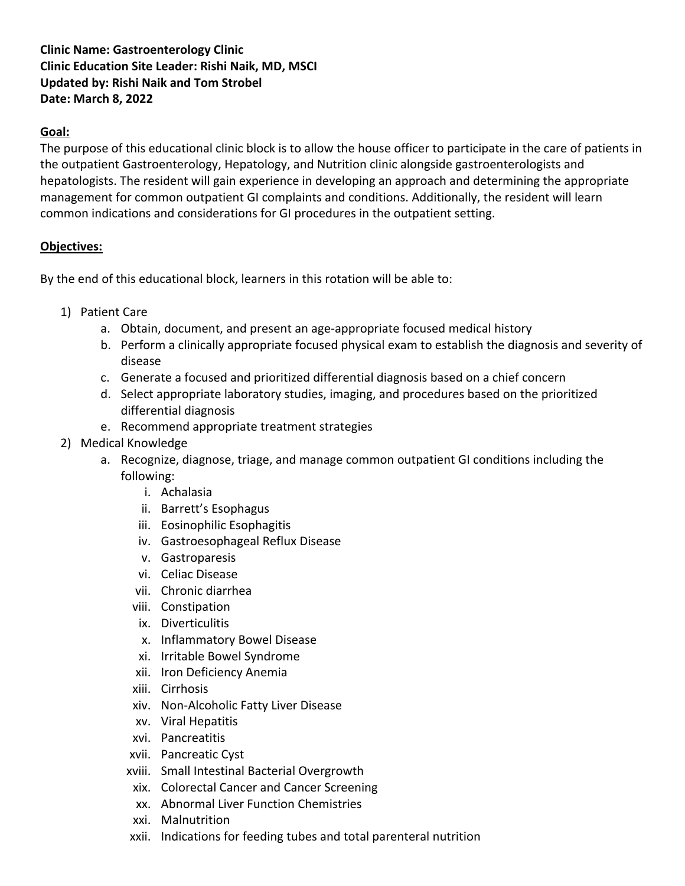# **Clinic Name: Gastroenterology Clinic Clinic Education Site Leader: Rishi Naik, MD, MSCI Updated by: Rishi Naik and Tom Strobel Date: March 8, 2022**

## **Goal:**

The purpose of this educational clinic block is to allow the house officer to participate in the care of patients in the outpatient Gastroenterology, Hepatology, and Nutrition clinic alongside gastroenterologists and hepatologists. The resident will gain experience in developing an approach and determining the appropriate management for common outpatient GI complaints and conditions. Additionally, the resident will learn common indications and considerations for GI procedures in the outpatient setting.

## **Objectives:**

By the end of this educational block, learners in this rotation will be able to:

- 1) Patient Care
	- a. Obtain, document, and present an age-appropriate focused medical history
	- b. Perform a clinically appropriate focused physical exam to establish the diagnosis and severity of disease
	- c. Generate a focused and prioritized differential diagnosis based on a chief concern
	- d. Select appropriate laboratory studies, imaging, and procedures based on the prioritized differential diagnosis
	- e. Recommend appropriate treatment strategies
- 2) Medical Knowledge
	- a. Recognize, diagnose, triage, and manage common outpatient GI conditions including the following:
		- i. Achalasia
		- ii. Barrett's Esophagus
		- iii. Eosinophilic Esophagitis
		- iv. Gastroesophageal Reflux Disease
		- v. Gastroparesis
		- vi. Celiac Disease
		- vii. Chronic diarrhea
		- viii. Constipation
		- ix. Diverticulitis
		- x. Inflammatory Bowel Disease
		- xi. Irritable Bowel Syndrome
		- xii. Iron Deficiency Anemia
		- xiii. Cirrhosis
		- xiv. Non-Alcoholic Fatty Liver Disease
		- xv. Viral Hepatitis
		- xvi. Pancreatitis
		- xvii. Pancreatic Cyst
		- xviii. Small Intestinal Bacterial Overgrowth
		- xix. Colorectal Cancer and Cancer Screening
		- xx. Abnormal Liver Function Chemistries
		- xxi. Malnutrition
		- xxii. Indications for feeding tubes and total parenteral nutrition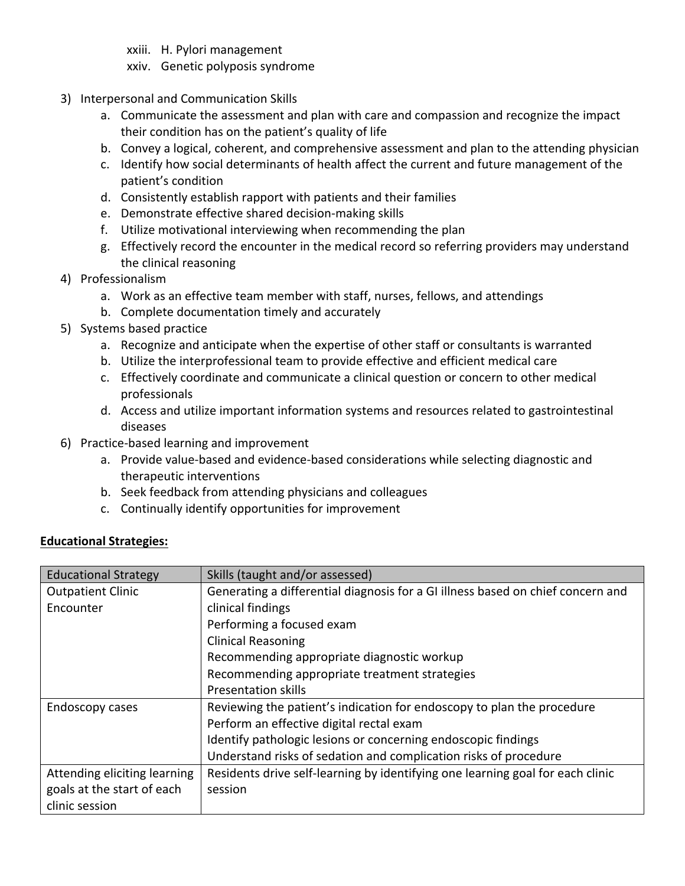- xxiii. H. Pylori management
- xxiv. Genetic polyposis syndrome
- 3) Interpersonal and Communication Skills
	- a. Communicate the assessment and plan with care and compassion and recognize the impact their condition has on the patient's quality of life
	- b. Convey a logical, coherent, and comprehensive assessment and plan to the attending physician
	- c. Identify how social determinants of health affect the current and future management of the patient's condition
	- d. Consistently establish rapport with patients and their families
	- e. Demonstrate effective shared decision-making skills
	- f. Utilize motivational interviewing when recommending the plan
	- g. Effectively record the encounter in the medical record so referring providers may understand the clinical reasoning
- 4) Professionalism
	- a. Work as an effective team member with staff, nurses, fellows, and attendings
	- b. Complete documentation timely and accurately
- 5) Systems based practice
	- a. Recognize and anticipate when the expertise of other staff or consultants is warranted
	- b. Utilize the interprofessional team to provide effective and efficient medical care
	- c. Effectively coordinate and communicate a clinical question or concern to other medical professionals
	- d. Access and utilize important information systems and resources related to gastrointestinal diseases
- 6) Practice-based learning and improvement
	- a. Provide value-based and evidence-based considerations while selecting diagnostic and therapeutic interventions
	- b. Seek feedback from attending physicians and colleagues
	- c. Continually identify opportunities for improvement

#### **Educational Strategies:**

| <b>Educational Strategy</b>  | Skills (taught and/or assessed)                                                 |  |  |  |
|------------------------------|---------------------------------------------------------------------------------|--|--|--|
| <b>Outpatient Clinic</b>     | Generating a differential diagnosis for a GI illness based on chief concern and |  |  |  |
| Encounter                    | clinical findings                                                               |  |  |  |
|                              | Performing a focused exam                                                       |  |  |  |
|                              | <b>Clinical Reasoning</b>                                                       |  |  |  |
|                              | Recommending appropriate diagnostic workup                                      |  |  |  |
|                              | Recommending appropriate treatment strategies                                   |  |  |  |
|                              | <b>Presentation skills</b>                                                      |  |  |  |
| Endoscopy cases              | Reviewing the patient's indication for endoscopy to plan the procedure          |  |  |  |
|                              | Perform an effective digital rectal exam                                        |  |  |  |
|                              | Identify pathologic lesions or concerning endoscopic findings                   |  |  |  |
|                              | Understand risks of sedation and complication risks of procedure                |  |  |  |
| Attending eliciting learning | Residents drive self-learning by identifying one learning goal for each clinic  |  |  |  |
| goals at the start of each   | session                                                                         |  |  |  |
| clinic session               |                                                                                 |  |  |  |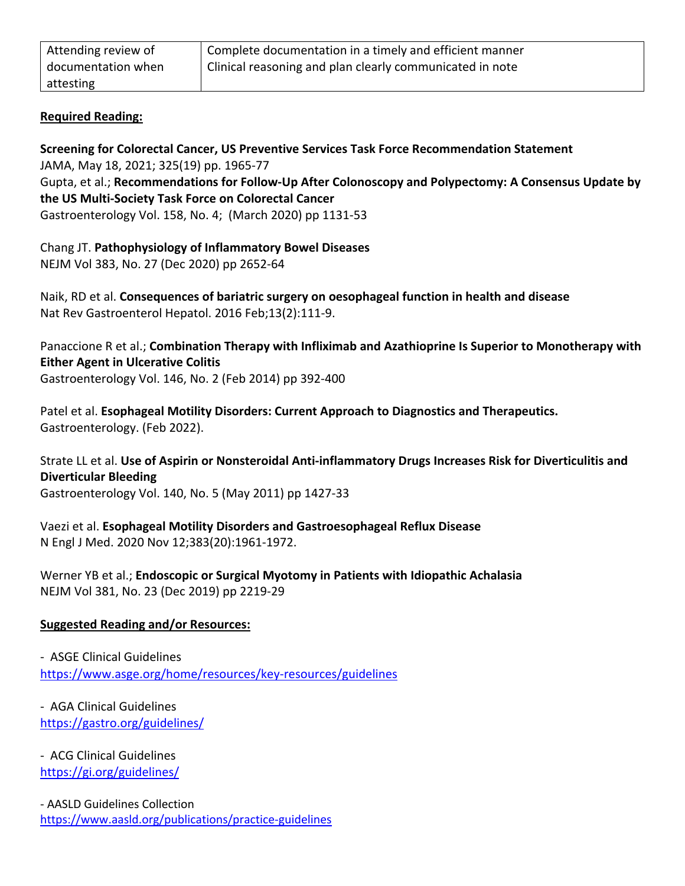| Attending review of | Complete documentation in a timely and efficient manner  |
|---------------------|----------------------------------------------------------|
| documentation when  | Clinical reasoning and plan clearly communicated in note |
| attesting           |                                                          |

### **Required Reading:**

**Screening for Colorectal Cancer, US Preventive Services Task Force Recommendation Statement** JAMA, May 18, 2021; 325(19) pp. 1965-77 Gupta, et al.; **Recommendations for Follow-Up After Colonoscopy and Polypectomy: A Consensus Update by the US Multi-Society Task Force on Colorectal Cancer** Gastroenterology Vol. 158, No. 4; (March 2020) pp 1131-53

Chang JT. **Pathophysiology of Inflammatory Bowel Diseases** NEJM Vol 383, No. 27 (Dec 2020) pp 2652-64

Naik, RD et al. **Consequences of bariatric surgery on oesophageal function in health and disease** Nat Rev Gastroenterol Hepatol. 2016 Feb;13(2):111-9.

Panaccione R et al.; **Combination Therapy with Infliximab and Azathioprine Is Superior to Monotherapy with Either Agent in Ulcerative Colitis** Gastroenterology Vol. 146, No. 2 (Feb 2014) pp 392-400

Patel et al. **Esophageal Motility Disorders: Current Approach to Diagnostics and Therapeutics.**  Gastroenterology. (Feb 2022).

Strate LL et al. **Use of Aspirin or Nonsteroidal Anti-inflammatory Drugs Increases Risk for Diverticulitis and Diverticular Bleeding** Gastroenterology Vol. 140, No. 5 (May 2011) pp 1427-33

Vaezi et al. **Esophageal Motility Disorders and Gastroesophageal Reflux Disease** N Engl J Med. 2020 Nov 12;383(20):1961-1972.

Werner YB et al.; **Endoscopic or Surgical Myotomy in Patients with Idiopathic Achalasia** NEJM Vol 381, No. 23 (Dec 2019) pp 2219-29

### **Suggested Reading and/or Resources:**

- ASGE Clinical Guidelines https://www.asge.org/home/resources/key-resources/guidelines

- AGA Clinical Guidelines https://gastro.org/guidelines/

- ACG Clinical Guidelines https://gi.org/guidelines/

- AASLD Guidelines Collection https://www.aasld.org/publications/practice-guidelines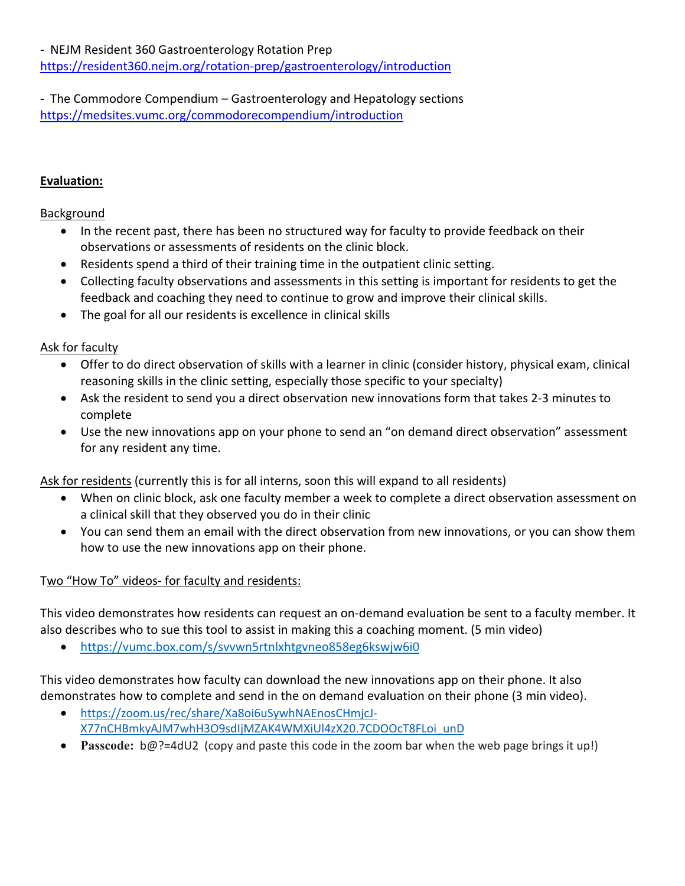- NEJM Resident 360 Gastroenterology Rotation Prep

https://resident360.nejm.org/rotation-prep/gastroenterology/introduction

- The Commodore Compendium – Gastroenterology and Hepatology sections https://medsites.vumc.org/commodorecompendium/introduction

#### **Evaluation:**

#### **Background**

- In the recent past, there has been no structured way for faculty to provide feedback on their observations or assessments of residents on the clinic block.
- Residents spend a third of their training time in the outpatient clinic setting.
- Collecting faculty observations and assessments in this setting is important for residents to get the feedback and coaching they need to continue to grow and improve their clinical skills.
- The goal for all our residents is excellence in clinical skills

### Ask for faculty

- Offer to do direct observation of skills with a learner in clinic (consider history, physical exam, clinical reasoning skills in the clinic setting, especially those specific to your specialty)
- Ask the resident to send you a direct observation new innovations form that takes 2-3 minutes to complete
- Use the new innovations app on your phone to send an "on demand direct observation" assessment for any resident any time.

Ask for residents (currently this is for all interns, soon this will expand to all residents)

- When on clinic block, ask one faculty member a week to complete a direct observation assessment on a clinical skill that they observed you do in their clinic
- You can send them an email with the direct observation from new innovations, or you can show them how to use the new innovations app on their phone.

#### Two "How To" videos- for faculty and residents:

This video demonstrates how residents can request an on-demand evaluation be sent to a faculty member. It also describes who to sue this tool to assist in making this a coaching moment. (5 min video)

• https://vumc.box.com/s/svvwn5rtnlxhtgvneo858eg6kswjw6i0

This video demonstrates how faculty can download the new innovations app on their phone. It also demonstrates how to complete and send in the on demand evaluation on their phone (3 min video).

- https://zoom.us/rec/share/Xa8oi6uSywhNAEnosCHmjcJ-X77nCHBmkyAJM7whH3O9sdIjMZAK4WMXiUl4zX20.7CDOOcT8FLoi\_unD
- **Passcode:** b@?=4dU2 (copy and paste this code in the zoom bar when the web page brings it up!)